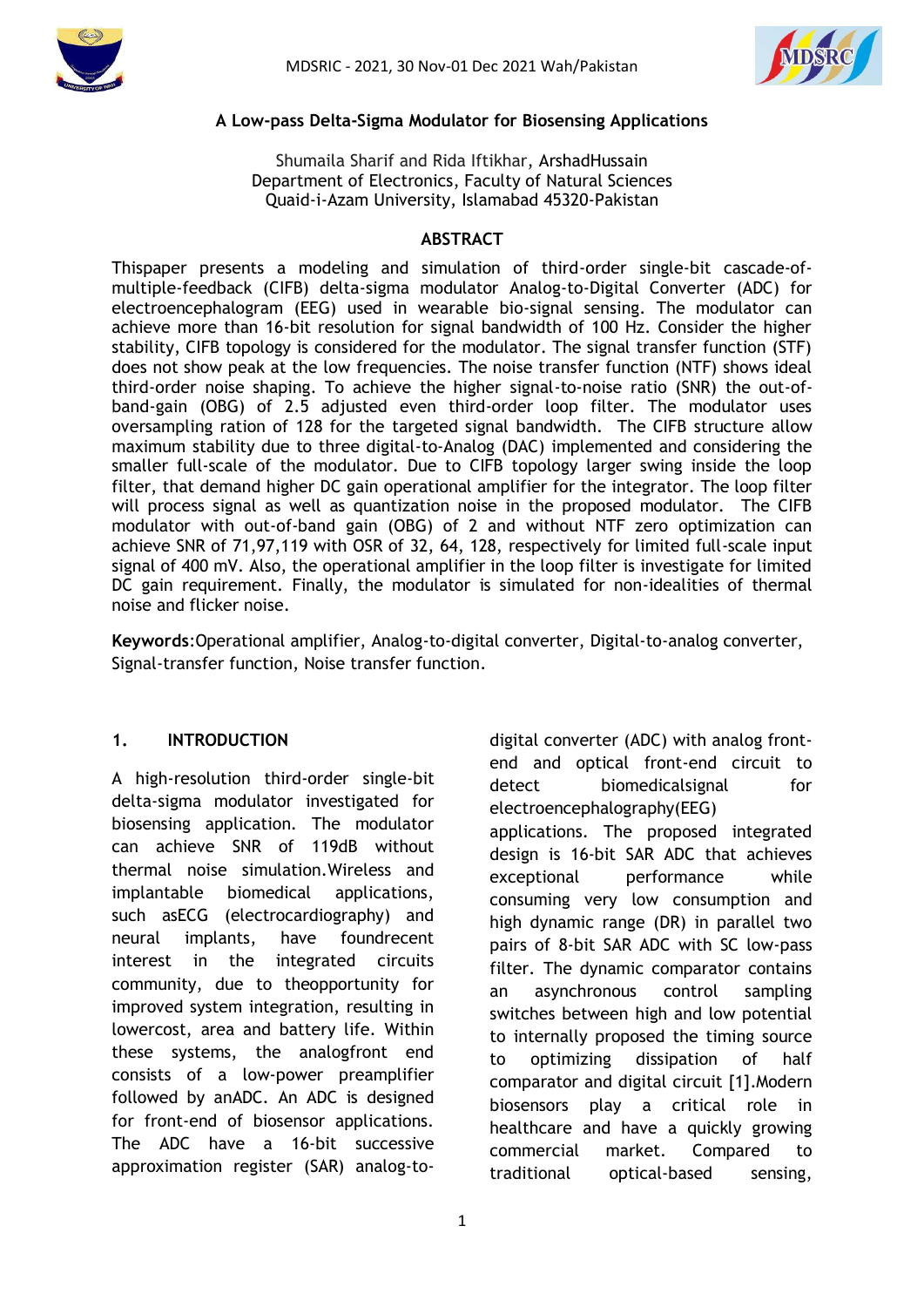



#### **A Low-pass Delta-Sigma Modulator for Biosensing Applications**

Shumaila Sharif and Rida Iftikhar, ArshadHussain Department of Electronics, Faculty of Natural Sciences Quaid-i-Azam University, Islamabad 45320-Pakistan

#### **ABSTRACT**

Thispaper presents a modeling and simulation of third-order single-bit cascade-ofmultiple-feedback (CIFB) delta-sigma modulator Analog-to-Digital Converter (ADC) for electroencephalogram (EEG) used in wearable bio-signal sensing. The modulator can achieve more than 16-bit resolution for signal bandwidth of 100 Hz. Consider the higher stability, CIFB topology is considered for the modulator. The signal transfer function (STF) does not show peak at the low frequencies. The noise transfer function (NTF) shows ideal third-order noise shaping. To achieve the higher signal-to-noise ratio (SNR) the out-ofband-gain (OBG) of 2.5 adjusted even third-order loop filter. The modulator uses oversampling ration of 128 for the targeted signal bandwidth. The CIFB structure allow maximum stability due to three digital-to-Analog (DAC) implemented and considering the smaller full-scale of the modulator. Due to CIFB topology larger swing inside the loop filter, that demand higher DC gain operational amplifier for the integrator. The loop filter will process signal as well as quantization noise in the proposed modulator. The CIFB modulator with out-of-band gain (OBG) of 2 and without NTF zero optimization can achieve SNR of 71,97,119 with OSR of 32, 64, 128, respectively for limited full-scale input signal of 400 mV. Also, the operational amplifier in the loop filter is investigate for limited DC gain requirement. Finally, the modulator is simulated for non-idealities of thermal noise and flicker noise.

**Keywords**:Operational amplifier, Analog-to-digital converter, Digital-to-analog converter, Signal-transfer function, Noise transfer function.

### **1. INTRODUCTION**

A high-resolution third-order single-bit delta-sigma modulator investigated for biosensing application. The modulator can achieve SNR of 119dB without thermal noise simulation.Wireless and implantable biomedical applications, such asECG (electrocardiography) and neural implants, have foundrecent interest in the integrated circuits community, due to theopportunity for improved system integration, resulting in lowercost, area and battery life. Within these systems, the analogfront end consists of a low-power preamplifier followed by anADC. An ADC is designed for front-end of biosensor applications. The ADC have a 16-bit successive approximation register (SAR) analog-todigital converter (ADC) with analog frontend and optical front-end circuit to detect biomedicalsignal for electroencephalography(EEG) applications. The proposed integrated design is 16-bit SAR ADC that achieves exceptional performance while consuming very low consumption and high dynamic range (DR) in parallel two pairs of 8-bit SAR ADC with SC low-pass filter. The dynamic comparator contains an asynchronous control sampling switches between high and low potential to internally proposed the timing source to optimizing dissipation of half comparator and digital circuit [1].Modern biosensors play a critical role in healthcare and have a quickly growing commercial market. Compared to traditional optical-based sensing,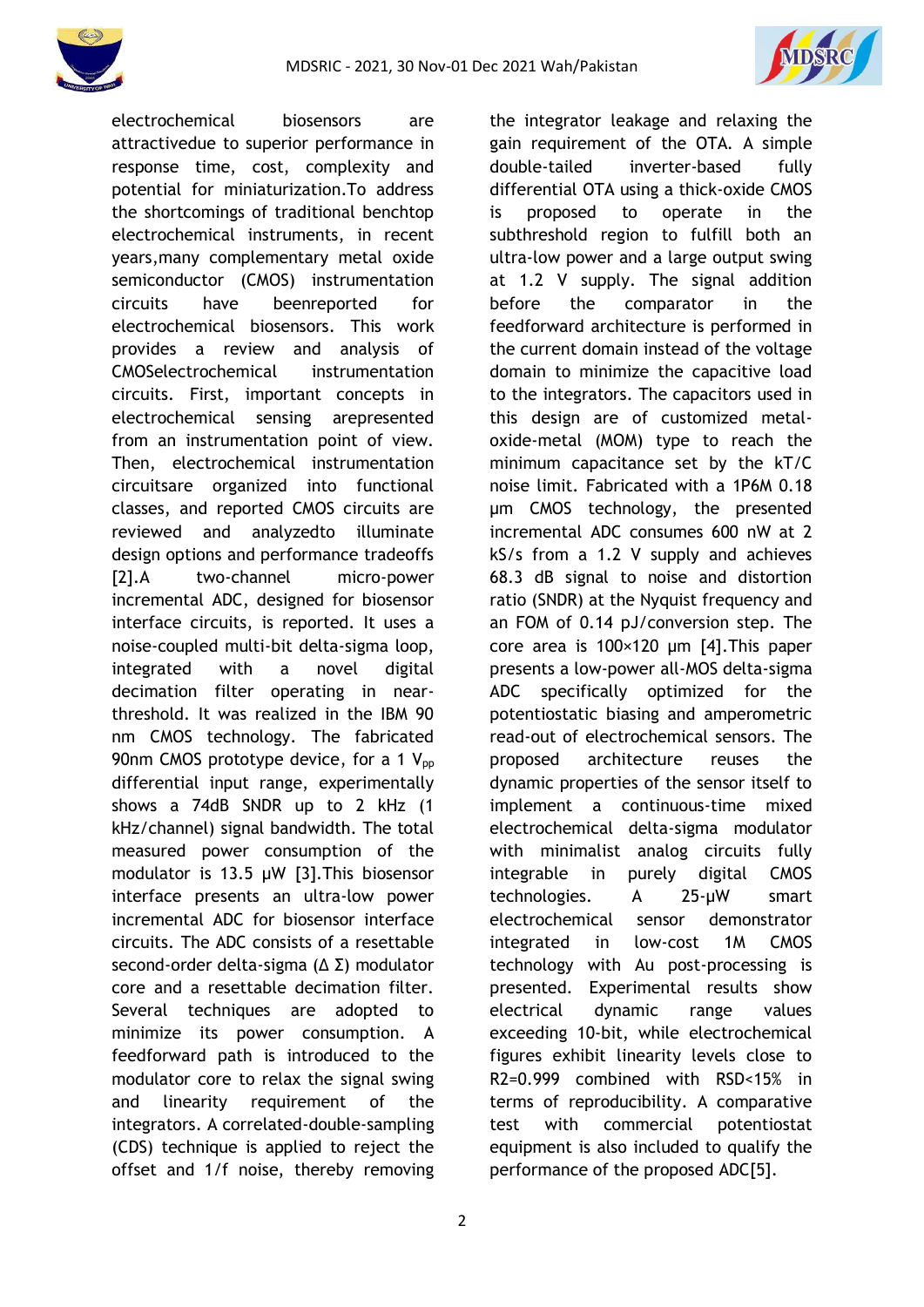



electrochemical biosensors are attractivedue to superior performance in response time, cost, complexity and potential for miniaturization.To address the shortcomings of traditional benchtop electrochemical instruments, in recent years,many complementary metal oxide semiconductor (CMOS) instrumentation circuits have beenreported for electrochemical biosensors. This work provides a review and analysis of CMOSelectrochemical instrumentation circuits. First, important concepts in electrochemical sensing arepresented from an instrumentation point of view. Then, electrochemical instrumentation circuitsare organized into functional classes, and reported CMOS circuits are reviewed and analyzedto illuminate design options and performance tradeoffs [2].A two-channel micro-power incremental ADC, designed for biosensor interface circuits, is reported. It uses a noise-coupled multi-bit delta-sigma loop, integrated with a novel digital decimation filter operating in nearthreshold. It was realized in the IBM 90 nm CMOS technology. The fabricated 90nm CMOS prototype device, for a 1  $V_{\text{pp}}$ differential input range, experimentally shows a 74dB SNDR up to 2 kHz (1 kHz/channel) signal bandwidth. The total measured power consumption of the modulator is 13.5 μW [3].This biosensor interface presents an ultra-low power incremental ADC for biosensor interface circuits. The ADC consists of a resettable second-order delta-sigma (Δ Σ) modulator core and a resettable decimation filter. Several techniques are adopted to minimize its power consumption. A feedforward path is introduced to the modulator core to relax the signal swing and linearity requirement of the integrators. A correlated-double-sampling (CDS) technique is applied to reject the offset and 1/f noise, thereby removing the integrator leakage and relaxing the gain requirement of the OTA. A simple double-tailed inverter-based fully differential OTA using a thick-oxide CMOS is proposed to operate in the subthreshold region to fulfill both an ultra-low power and a large output swing at 1.2 V supply. The signal addition before the comparator in the feedforward architecture is performed in the current domain instead of the voltage domain to minimize the capacitive load to the integrators. The capacitors used in this design are of customized metaloxide-metal (MOM) type to reach the minimum capacitance set by the kT/C noise limit. Fabricated with a 1P6M 0.18 μm CMOS technology, the presented incremental ADC consumes 600 nW at 2 kS/s from a 1.2 V supply and achieves 68.3 dB signal to noise and distortion ratio (SNDR) at the Nyquist frequency and an FOM of 0.14 pJ/conversion step. The core area is 100×120 μm [4].This paper presents a low-power all-MOS delta-sigma ADC specifically optimized for the potentiostatic biasing and amperometric read-out of electrochemical sensors. The proposed architecture reuses the dynamic properties of the sensor itself to implement a continuous-time mixed electrochemical delta-sigma modulator with minimalist analog circuits fully integrable in purely digital CMOS technologies. A 25-µW smart electrochemical sensor demonstrator integrated in low-cost 1M CMOS technology with Au post-processing is presented. Experimental results show electrical dynamic range values exceeding 10-bit, while electrochemical figures exhibit linearity levels close to R2=0.999 combined with RSD<15% in terms of reproducibility. A comparative test with commercial potentiostat equipment is also included to qualify the performance of the proposed ADC[5].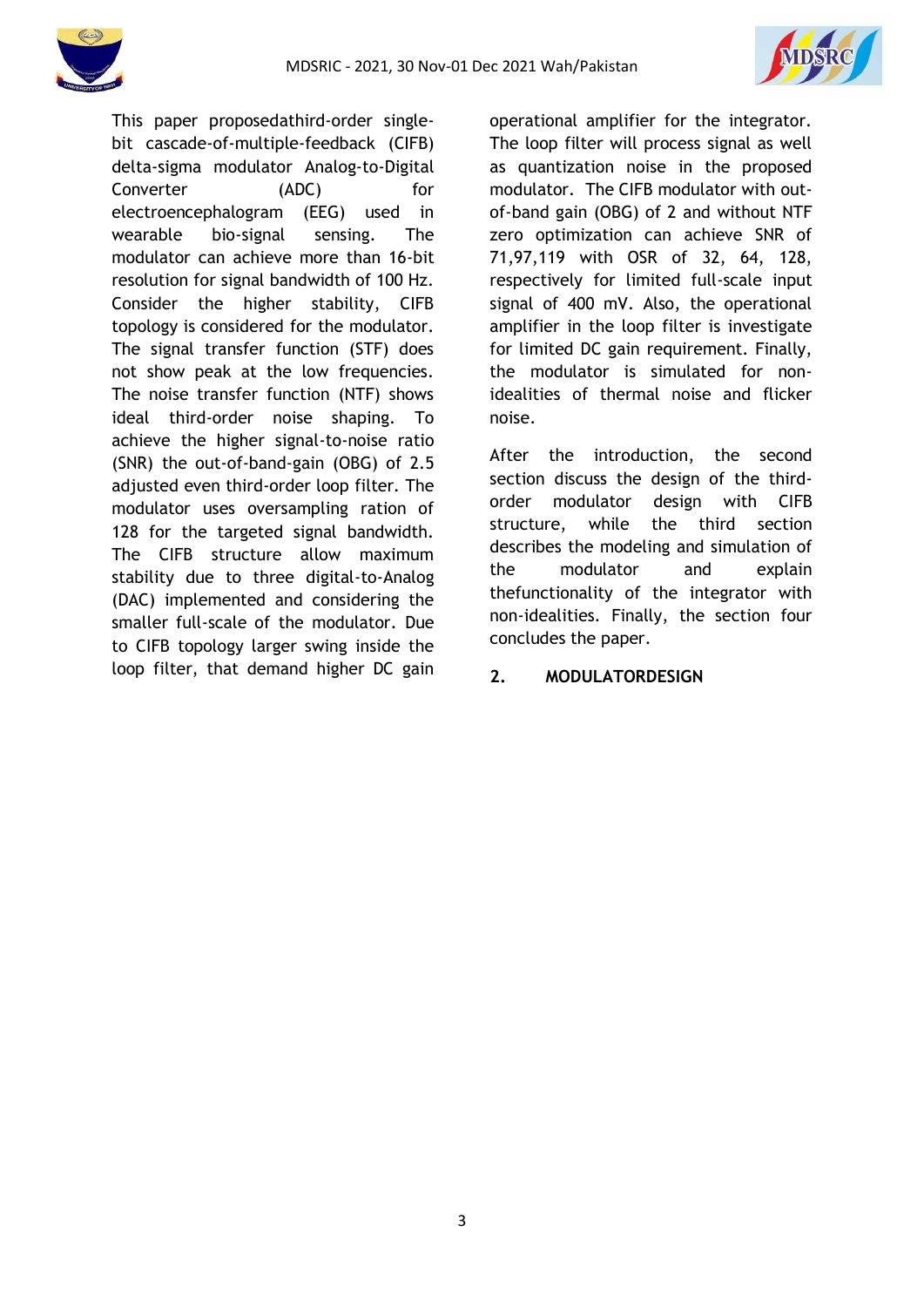



This paper proposedathird-order singlebit cascade-of-multiple-feedback (CIFB) delta-sigma modulator Analog-to-Digital Converter (ADC) for electroencephalogram (EEG) used in wearable bio-signal sensing. The modulator can achieve more than 16-bit resolution for signal bandwidth of 100 Hz. Consider the higher stability, CIFB topology is considered for the modulator. The signal transfer function (STF) does not show peak at the low frequencies. The noise transfer function (NTF) shows ideal third-order noise shaping. To achieve the higher signal-to-noise ratio (SNR) the out-of-band-gain (OBG) of 2.5 adjusted even third-order loop filter. The modulator uses oversampling ration of 128 for the targeted signal bandwidth. The CIFB structure allow maximum stability due to three digital-to-Analog (DAC) implemented and considering the smaller full-scale of the modulator. Due to CIFB topology larger swing inside the loop filter, that demand higher DC gain operational amplifier for the integrator. The loop filter will process signal as well as quantization noise in the proposed modulator. The CIFB modulator with outof-band gain (OBG) of 2 and without NTF zero optimization can achieve SNR of 71,97,119 with OSR of 32, 64, 128, respectively for limited full-scale input signal of 400 mV. Also, the operational amplifier in the loop filter is investigate for limited DC gain requirement. Finally, the modulator is simulated for nonidealities of thermal noise and flicker noise.

After the introduction, the second section discuss the design of the thirdorder modulator design with CIFB structure, while the third section describes the modeling and simulation of the modulator and explain thefunctionality of the integrator with non-idealities. Finally, the section four concludes the paper.

### **2. MODULATORDESIGN**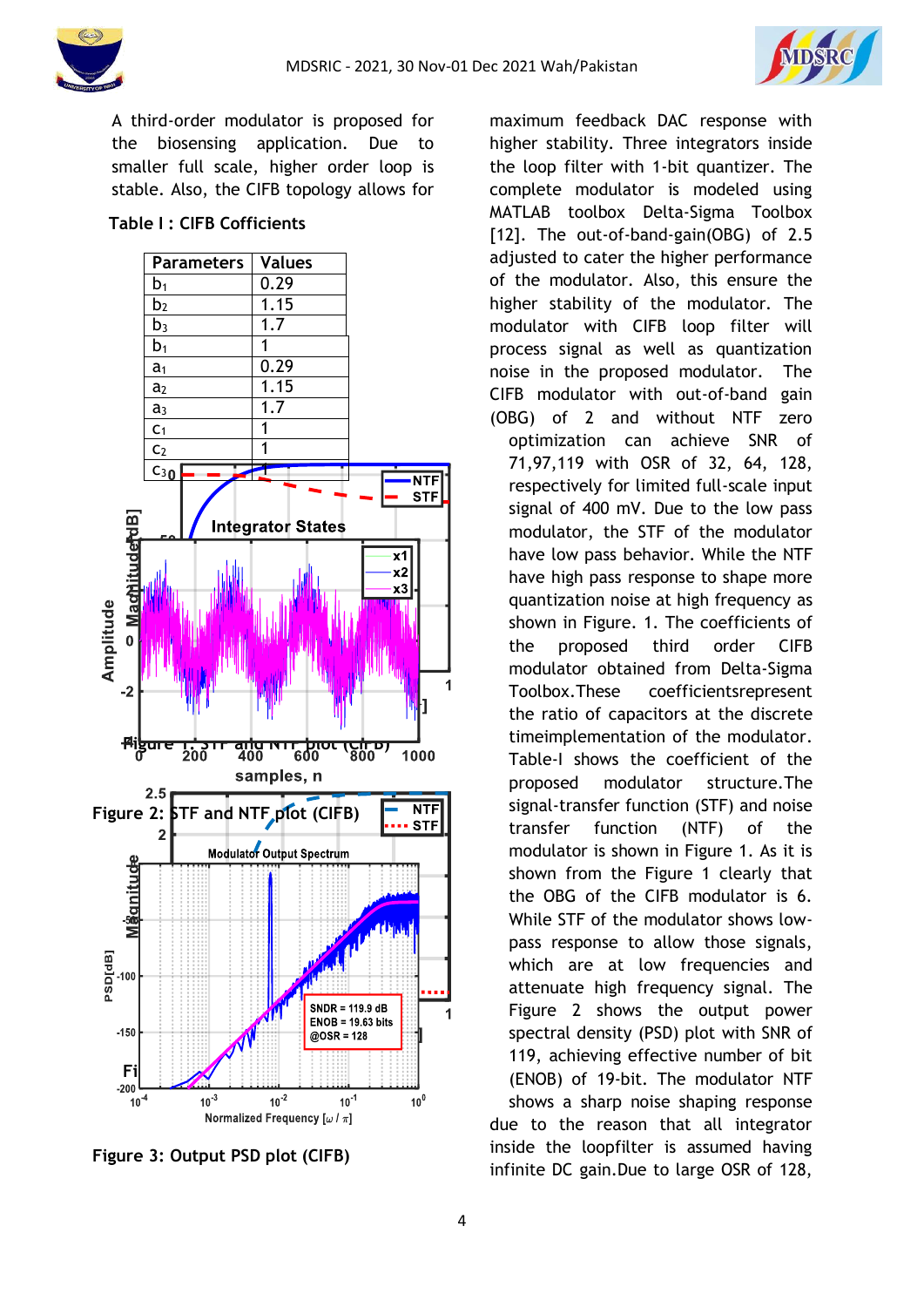



A third-order modulator is proposed for the biosensing application. Due to smaller full scale, higher order loop is stable. Also, the CIFB topology allows for

### **Table I : CIFB Cofficients**



**Figure 3: Output PSD plot (CIFB)**

maximum feedback DAC response with higher stability. Three integrators inside the loop filter with 1-bit quantizer. The complete modulator is modeled using MATLAB toolbox Delta-Sigma Toolbox [12]. The out-of-band-gain(OBG) of 2.5 adjusted to cater the higher performance of the modulator. Also, this ensure the higher stability of the modulator. The modulator with CIFB loop filter will process signal as well as quantization noise in the proposed modulator. The CIFB modulator with out-of-band gain (OBG) of 2 and without NTF zero optimization can achieve SNR of 71,97,119 with OSR of 32, 64, 128, respectively for limited full-scale input signal of 400 mV. Due to the low pass modulator, the STF of the modulator have low pass behavior. While the NTF have high pass response to shape more quantization noise at high frequency as shown in Figure. 1. The coefficients of the proposed third order CIFB modulator obtained from Delta-Sigma Toolbox.These coefficientsrepresent the ratio of capacitors at the discrete timeimplementation of the modulator. Table-I shows the coefficient of the proposed modulator structure.The signal-transfer function (STF) and noise transfer function (NTF) of the modulator is shown in Figure 1. As it is shown from the Figure 1 clearly that the OBG of the CIFB modulator is 6. While STF of the modulator shows lowpass response to allow those signals, which are at low frequencies and attenuate high frequency signal. The Figure 2 shows the output power spectral density (PSD) plot with SNR of 119, achieving effective number of bit (ENOB) of 19-bit. The modulator NTF shows a sharp noise shaping response due to the reason that all integrator inside the loopfilter is assumed having infinite DC gain.Due to large OSR of 128,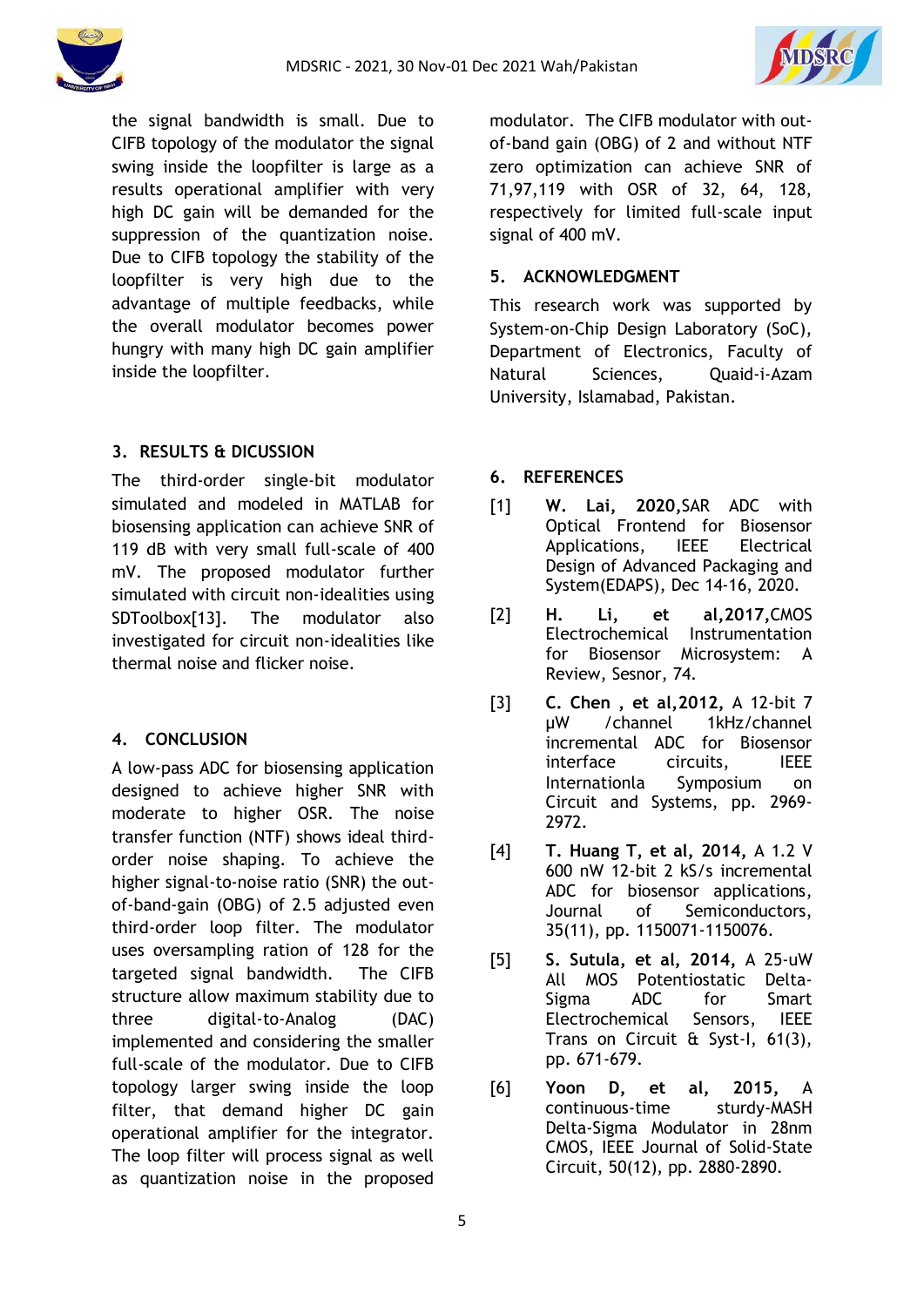



the signal bandwidth is small. Due to CIFB topology of the modulator the signal swing inside the loopfilter is large as a results operational amplifier with very high DC gain will be demanded for the suppression of the quantization noise. Due to CIFB topology the stability of the loopfilter is very high due to the advantage of multiple feedbacks, while the overall modulator becomes power hungry with many high DC gain amplifier inside the loopfilter.

# **3. RESULTS & DICUSSION**

The third-order single-bit modulator simulated and modeled in MATLAB for biosensing application can achieve SNR of 119 dB with very small full-scale of 400 mV. The proposed modulator further simulated with circuit non-idealities using SDToolbox[13]. The modulator also investigated for circuit non-idealities like thermal noise and flicker noise.

# **4. CONCLUSION**

A low-pass ADC for biosensing application designed to achieve higher SNR with moderate to higher OSR. The noise transfer function (NTF) shows ideal thirdorder noise shaping. To achieve the higher signal-to-noise ratio (SNR) the outof-band-gain (OBG) of 2.5 adjusted even third-order loop filter. The modulator uses oversampling ration of 128 for the targeted signal bandwidth. The CIFB structure allow maximum stability due to three digital-to-Analog (DAC) implemented and considering the smaller full-scale of the modulator. Due to CIFB topology larger swing inside the loop filter, that demand higher DC gain operational amplifier for the integrator. The loop filter will process signal as well as quantization noise in the proposed modulator. The CIFB modulator with outof-band gain (OBG) of 2 and without NTF zero optimization can achieve SNR of 71,97,119 with OSR of 32, 64, 128, respectively for limited full-scale input signal of 400 mV.

## **5. ACKNOWLEDGMENT**

This research work was supported by System-on-Chip Design Laboratory (SoC), Department of Electronics, Faculty of Natural Sciences, Quaid-i-Azam University, Islamabad, Pakistan.

## **6. REFERENCES**

- [1] **W. Lai, 2020,**SAR ADC with Optical Frontend for Biosensor Applications, IEEE Electrical Design of Advanced Packaging and System(EDAPS), Dec 14-16, 2020.
- [2] **H. Li, et al,2017,**CMOS Electrochemical Instrumentation for Biosensor Microsystem: A Review, Sesnor, 74.
- [3] **C. Chen , et al,2012,** A 12-bit 7 µW /channel 1kHz/channel incremental ADC for Biosensor interface circuits, IEEE Internationla Symposium on Circuit and Systems, pp. 2969- 2972.
- [4] **T. Huang T, et al, 2014,** A 1.2 V 600 nW 12-bit 2 kS/s incremental ADC for biosensor applications, Journal of Semiconductors, 35(11), pp. 1150071-1150076.
- [5] **S. Sutula, et al, 2014,** A 25-uW All MOS Potentiostatic Delta-Sigma ADC for Smart Electrochemical Sensors, IEEE Trans on Circuit & Syst-I, 61(3), pp. 671-679.
- [6] **Yoon D, et al, 2015,** A continuous-time sturdy-MASH Delta-Sigma Modulator in 28nm CMOS, IEEE Journal of Solid-State Circuit, 50(12), pp. 2880-2890.